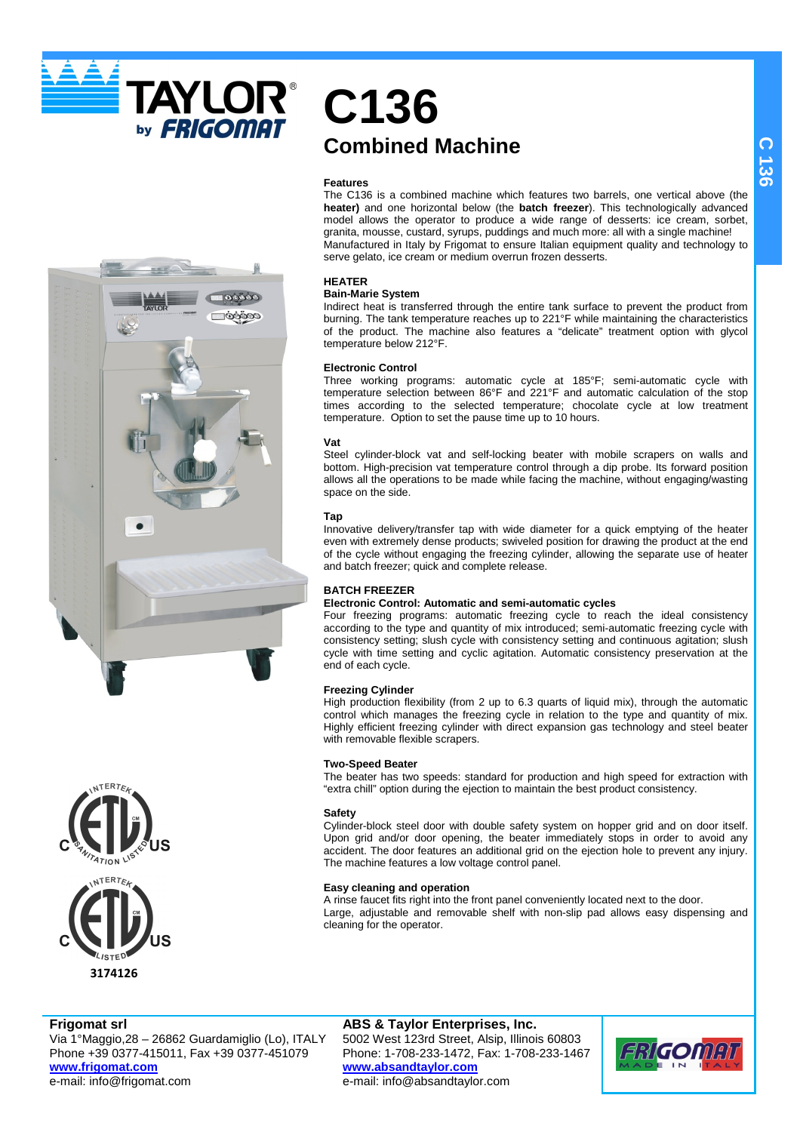



## **C136 Combined Machine**

## **Features**

The C136 is a combined machine which features two barrels, one vertical above (the **heater)** and one horizontal below (the **batch freezer**). This technologically advanced model allows the operator to produce a wide range of desserts: ice cream, sorbet, granita, mousse, custard, syrups, puddings and much more: all with a single machine! Manufactured in Italy by Frigomat to ensure Italian equipment quality and technology to serve gelato, ice cream or medium overrun frozen desserts.

## **HEATER**

#### **Bain-Marie System**

Indirect heat is transferred through the entire tank surface to prevent the product from burning. The tank temperature reaches up to 221°F while maintaining the characteristics of the product. The machine also features a "delicate" treatment option with glycol temperature below 212°F.

#### **Electronic Control**

Three working programs: automatic cycle at 185°F; semi-automatic cycle with temperature selection between 86°F and 221°F and automatic calculation of the stop times according to the selected temperature; chocolate cycle at low treatment temperature. Option to set the pause time up to 10 hours.

## **Vat**

Steel cylinder-block vat and self-locking beater with mobile scrapers on walls and bottom. High-precision vat temperature control through a dip probe. Its forward position allows all the operations to be made while facing the machine, without engaging/wasting space on the side.

#### **Tap**

Innovative delivery/transfer tap with wide diameter for a quick emptying of the heater even with extremely dense products; swiveled position for drawing the product at the end of the cycle without engaging the freezing cylinder, allowing the separate use of heater and batch freezer; quick and complete release.

## **BATCH FREEZER**

## **Electronic Control: Automatic and semi-automatic cycles**

Four freezing programs: automatic freezing cycle to reach the ideal consistency according to the type and quantity of mix introduced; semi-automatic freezing cycle with consistency setting; slush cycle with consistency setting and continuous agitation; slush cycle with time setting and cyclic agitation. Automatic consistency preservation at the end of each cycle.

## **Freezing Cylinder**

High production flexibility (from 2 up to 6.3 quarts of liquid mix), through the automatic control which manages the freezing cycle in relation to the type and quantity of mix. Highly efficient freezing cylinder with direct expansion gas technology and steel beater with removable flexible scrapers.

#### **Two-Speed Beater**

The beater has two speeds: standard for production and high speed for extraction with "extra chill" option during the ejection to maintain the best product consistency.

#### **Safety**

Cylinder-block steel door with double safety system on hopper grid and on door itself. Upon grid and/or door opening, the beater immediately stops in order to avoid any accident. The door features an additional grid on the ejection hole to prevent any injury. The machine features a low voltage control panel.

#### **Easy cleaning and operation**

A rinse faucet fits right into the front panel conveniently located next to the door. Large, adjustable and removable shelf with non-slip pad allows easy dispensing and cleaning for the operator.

## **C 1 3 6**

## **Frigomat srl**

Via 1°Maggio,28 – 26862 Guardamiglio (Lo), ITALY Phone +39 0377-415011, Fax +39 0377-451079 **www.frigomat.com** e-mail: info@frigomat.com

**ABS & Taylor Enterprises, Inc.** 5002 West 123rd Street, Alsip, Illinois 60803 Phone: 1-708-233-1472, Fax: 1-708-233-1467 **www.absandtaylor.com** e-mail: info@absandtaylor.com